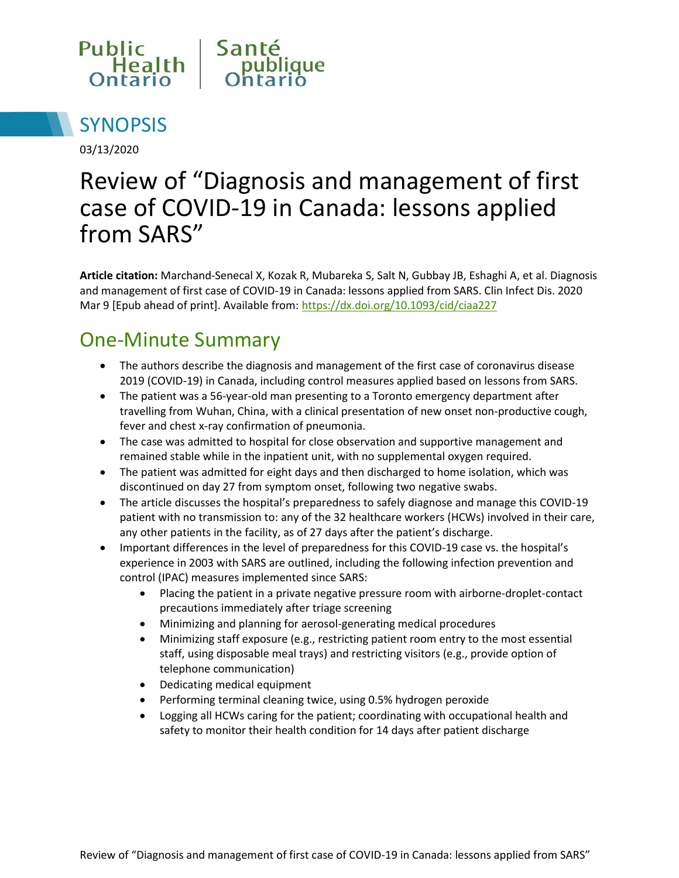



03/13/2020

# Review of "Diagnosis and management of first case of COVID-19 in Canada: lessons applied from SARS"

**Article citation:** Marchand-Senecal X, Kozak R, Mubareka S, Salt N, Gubbay JB, Eshaghi A, et al. Diagnosis and management of first case of COVID-19 in Canada: lessons applied from SARS. Clin Infect Dis. 2020 Mar 9 [Epub ahead of print]. Available from: <https://dx.doi.org/10.1093/cid/ciaa227>

#### One-Minute Summary

- The authors describe the diagnosis and management of the first case of coronavirus disease 2019 (COVID-19) in Canada, including control measures applied based on lessons from SARS.
- The patient was a 56-year-old man presenting to a Toronto emergency department after travelling from Wuhan, China, with a clinical presentation of new onset non-productive cough, fever and chest x-ray confirmation of pneumonia.
- The case was admitted to hospital for close observation and supportive management and remained stable while in the inpatient unit, with no supplemental oxygen required.
- The patient was admitted for eight days and then discharged to home isolation, which was discontinued on day 27 from symptom onset, following two negative swabs.
- The article discusses the hospital's preparedness to safely diagnose and manage this COVID-19 patient with no transmission to: any of the 32 healthcare workers (HCWs) involved in their care, any other patients in the facility, as of 27 days after the patient's discharge.
- Important differences in the level of preparedness for this COVID-19 case vs. the hospital's experience in 2003 with SARS are outlined, including the following infection prevention and control (IPAC) measures implemented since SARS:
	- Placing the patient in a private negative pressure room with airborne-droplet-contact precautions immediately after triage screening
	- Minimizing and planning for aerosol-generating medical procedures
	- Minimizing staff exposure (e.g., restricting patient room entry to the most essential staff, using disposable meal trays) and restricting visitors (e.g., provide option of telephone communication)
	- Dedicating medical equipment
	- Performing terminal cleaning twice, using 0.5% hydrogen peroxide
	- Logging all HCWs caring for the patient; coordinating with occupational health and safety to monitor their health condition for 14 days after patient discharge